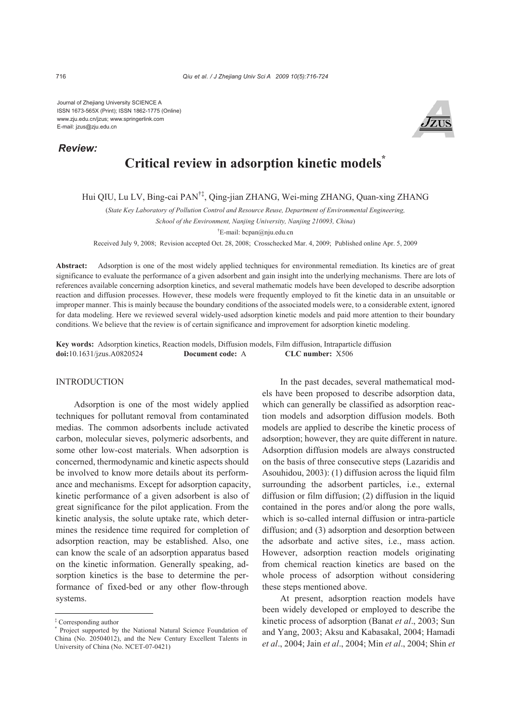Journal of Zhejiang University SCIENCE A ISSN 1673-565X (Print); ISSN 1862-1775 (Online) www.zju.edu.cn/jzus; www.springerlink.com E-mail: jzus@zju.edu.cn

# *Review:*



# **Critical review in adsorption kinetic models\***

Hui QIU, Lu LV, Bing-cai PAN†‡, Qing-jian ZHANG, Wei-ming ZHANG, Quan-xing ZHANG

(*State Key Laboratory of Pollution Control and Resource Reuse, Department of Environmental Engineering,* 

*School of the Environment, Nanjing University, Nanjing 210093, China*)

† E-mail: bcpan@nju.edu.cn

Received July 9, 2008; Revision accepted Oct. 28, 2008; Crosschecked Mar. 4, 2009; Published online Apr. 5, 2009

Abstract: Adsorption is one of the most widely applied techniques for environmental remediation. Its kinetics are of great significance to evaluate the performance of a given adsorbent and gain insight into the underlying mechanisms. There are lots of references available concerning adsorption kinetics, and several mathematic models have been developed to describe adsorption reaction and diffusion processes. However, these models were frequently employed to fit the kinetic data in an unsuitable or improper manner. This is mainly because the boundary conditions of the associated models were, to a considerable extent, ignored for data modeling. Here we reviewed several widely-used adsorption kinetic models and paid more attention to their boundary conditions. We believe that the review is of certain significance and improvement for adsorption kinetic modeling.

**Key words:** Adsorption kinetics, Reaction models, Diffusion models, Film diffusion, Intraparticle diffusion **doi:**10.1631/jzus.A0820524 **Document code:** A **CLC number:** X506

## INTRODUCTION

Adsorption is one of the most widely applied techniques for pollutant removal from contaminated medias. The common adsorbents include activated carbon, molecular sieves, polymeric adsorbents, and some other low-cost materials. When adsorption is concerned, thermodynamic and kinetic aspects should be involved to know more details about its performance and mechanisms. Except for adsorption capacity, kinetic performance of a given adsorbent is also of great significance for the pilot application. From the kinetic analysis, the solute uptake rate, which determines the residence time required for completion of adsorption reaction, may be established. Also, one can know the scale of an adsorption apparatus based on the kinetic information. Generally speaking, adsorption kinetics is the base to determine the performance of fixed-bed or any other flow-through systems.

In the past decades, several mathematical models have been proposed to describe adsorption data, which can generally be classified as adsorption reaction models and adsorption diffusion models. Both models are applied to describe the kinetic process of adsorption; however, they are quite different in nature. Adsorption diffusion models are always constructed on the basis of three consecutive steps (Lazaridis and Asouhidou, 2003): (1) diffusion across the liquid film surrounding the adsorbent particles, i.e., external diffusion or film diffusion; (2) diffusion in the liquid contained in the pores and/or along the pore walls, which is so-called internal diffusion or intra-particle diffusion; and (3) adsorption and desorption between the adsorbate and active sites, i.e., mass action. However, adsorption reaction models originating from chemical reaction kinetics are based on the whole process of adsorption without considering these steps mentioned above.

At present, adsorption reaction models have been widely developed or employed to describe the kinetic process of adsorption (Banat *et al*., 2003; Sun and Yang, 2003; Aksu and Kabasakal, 2004; Hamadi *et al*., 2004; Jain *et al*., 2004; Min *et al*., 2004; Shin *et* 

<sup>‡</sup> Corresponding author \*

Project supported by the National Natural Science Foundation of China (No. 20504012), and the New Century Excellent Talents in University of China (No. NCET-07-0421)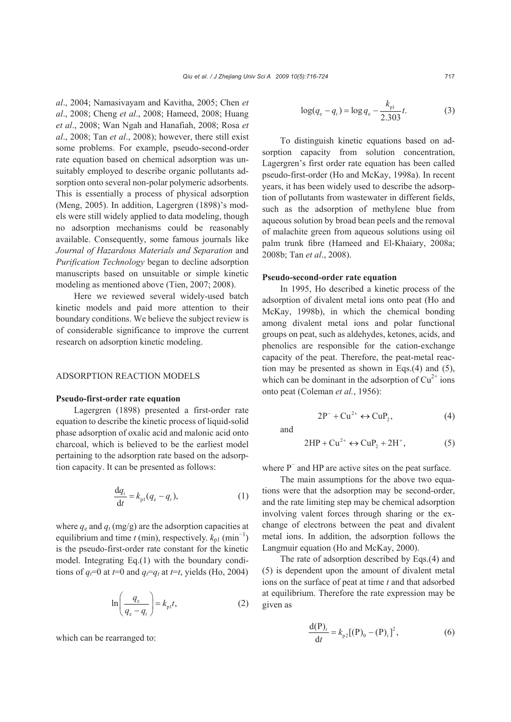*al*., 2004; Namasivayam and Kavitha, 2005; Chen *et al*., 2008; Cheng *et al*., 2008; Hameed, 2008; Huang *et al*., 2008; Wan Ngah and Hanafiah, 2008; Rosa *et al*., 2008; Tan *et al*., 2008); however, there still exist some problems. For example, pseudo-second-order rate equation based on chemical adsorption was unsuitably employed to describe organic pollutants adsorption onto several non-polar polymeric adsorbents. This is essentially a process of physical adsorption (Meng, 2005). In addition, Lagergren (1898)'s models were still widely applied to data modeling, though no adsorption mechanisms could be reasonably available. Consequently, some famous journals like *Journal of Hazardous Materials and Separation* and *Purification Technology* began to decline adsorption manuscripts based on unsuitable or simple kinetic modeling as mentioned above (Tien, 2007; 2008).

Here we reviewed several widely-used batch kinetic models and paid more attention to their boundary conditions. We believe the subject review is of considerable significance to improve the current research on adsorption kinetic modeling.

## ADSORPTION REACTION MODELS

#### **Pseudo-first-order rate equation**

Lagergren (1898) presented a first-order rate equation to describe the kinetic process of liquid-solid phase adsorption of oxalic acid and malonic acid onto charcoal, which is believed to be the earliest model pertaining to the adsorption rate based on the adsorption capacity. It can be presented as follows:

$$
\frac{\mathrm{d}q_t}{\mathrm{d}t} = k_{\mathrm{pl}}(q_{\mathrm{e}} - q_t),\tag{1}
$$

where  $q_e$  and  $q_t$  (mg/g) are the adsorption capacities at equilibrium and time *t* (min), respectively.  $k_{p1}$  (min<sup>-1</sup>) is the pseudo-first-order rate constant for the kinetic model. Integrating Eq.(1) with the boundary conditions of  $q_t$ =0 at  $t=0$  and  $q_t=q_t$  at  $t=t$ , yields (Ho, 2004)

$$
\ln\left(\frac{q_{\rm e}}{q_{\rm e}-q_{\rm r}}\right) = k_{\rm pl}t,\tag{2}
$$

which can be rearranged to:

$$
\log(q_{\rm e} - q_{\rm r}) = \log q_{\rm e} - \frac{k_{\rm pl}}{2.303}t.
$$
 (3)

To distinguish kinetic equations based on adsorption capacity from solution concentration, Lagergren's first order rate equation has been called pseudo-first-order (Ho and McKay, 1998a). In recent years, it has been widely used to describe the adsorption of pollutants from wastewater in different fields, such as the adsorption of methylene blue from aqueous solution by broad bean peels and the removal of malachite green from aqueous solutions using oil palm trunk fibre (Hameed and El-Khaiary, 2008a; 2008b; Tan *et al*., 2008).

## **Pseudo-second-order rate equation**

In 1995, Ho described a kinetic process of the adsorption of divalent metal ions onto peat (Ho and McKay, 1998b), in which the chemical bonding among divalent metal ions and polar functional groups on peat, such as aldehydes, ketones, acids, and phenolics are responsible for the cation-exchange capacity of the peat. Therefore, the peat-metal reaction may be presented as shown in Eqs.(4) and (5), which can be dominant in the adsorption of  $Cu^{2+}$  ions onto peat (Coleman *et al.*, 1956):

$$
2P^{-} + Cu^{2+} \leftrightarrow CuP_2, \qquad (4)
$$

and

$$
2HP + Cu^{2+} \leftrightarrow CuP_2 + 2H^+, \tag{5}
$$

where P<sup>−</sup> and HP are active sites on the peat surface.

The main assumptions for the above two equations were that the adsorption may be second-order, and the rate limiting step may be chemical adsorption involving valent forces through sharing or the exchange of electrons between the peat and divalent metal ions. In addition, the adsorption follows the Langmuir equation (Ho and McKay, 2000).

The rate of adsorption described by Eqs.(4) and (5) is dependent upon the amount of divalent metal ions on the surface of peat at time *t* and that adsorbed at equilibrium. Therefore the rate expression may be given as

$$
\frac{d(P)_t}{dt} = k_{p2}[(P)_0 - (P)_t]^2,
$$
\n(6)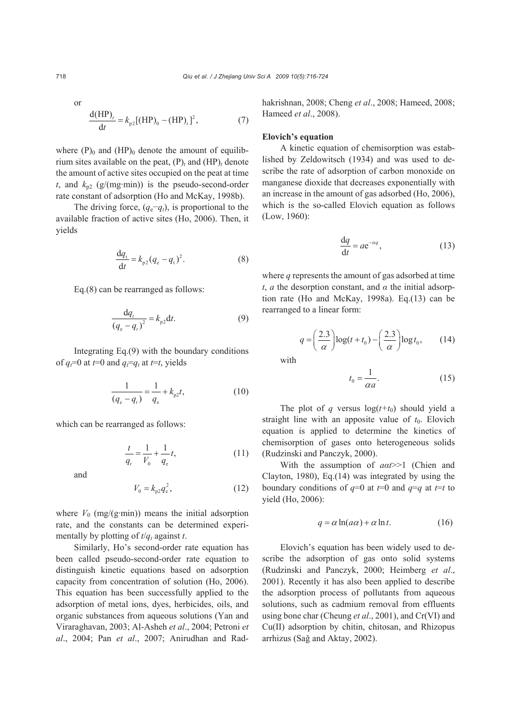or  
\n
$$
\frac{d(HP)_t}{dt} = k_{p2}[(HP)_0 - (HP)_t]^2,
$$
\n(7)

where  $(P)$ <sub>0</sub> and  $(HP)$ <sub>0</sub> denote the amount of equilibrium sites available on the peat,  $(P)_t$  and  $(HP)_t$  denote the amount of active sites occupied on the peat at time *t*, and  $k_{n2}$  (g/(mg·min)) is the pseudo-second-order rate constant of adsorption (Ho and McKay, 1998b).

The driving force,  $(q_e-q_t)$ , is proportional to the available fraction of active sites (Ho, 2006). Then, it yields

$$
\frac{dq_t}{dt} = k_{p2}(q_e - q_t)^2.
$$
 (8)

Eq.(8) can be rearranged as follows:

$$
\frac{dq_t}{(q_e - q_t)^2} = k_{p2} dt.
$$
 (9)

Integrating Eq.(9) with the boundary conditions of  $q_t = 0$  at  $t = 0$  and  $q_t = q_t$  at  $t = t$ , yields

$$
\frac{1}{(q_e - q_t)} = \frac{1}{q_e} + k_{p2}t,\tag{10}
$$

which can be rearranged as follows:

$$
\frac{t}{q_t} = \frac{1}{V_0} + \frac{1}{q_e}t,\tag{11}
$$

and

$$
V_0 = k_{p2} q_e^2, \tag{12}
$$

where  $V_0$  (mg/(g·min)) means the initial adsorption rate, and the constants can be determined experimentally by plotting of  $t/q_t$  against  $t$ .

Similarly, Ho's second-order rate equation has been called pseudo-second-order rate equation to distinguish kinetic equations based on adsorption capacity from concentration of solution (Ho, 2006). This equation has been successfully applied to the adsorption of metal ions, dyes, herbicides, oils, and organic substances from aqueous solutions (Yan and Viraraghavan, 2003; Al-Asheh *et al*., 2004; Petroni *et al*., 2004; Pan *et al*., 2007; Anirudhan and Radhakrishnan, 2008; Cheng *et al*., 2008; Hameed, 2008; Hameed *et al*., 2008).

#### **Elovich's equation**

A kinetic equation of chemisorption was established by Zeldowitsch (1934) and was used to describe the rate of adsorption of carbon monoxide on manganese dioxide that decreases exponentially with an increase in the amount of gas adsorbed (Ho, 2006), which is the so-called Elovich equation as follows (Low, 1960):

$$
\frac{\mathrm{d}q}{\mathrm{d}t} = ae^{-\alpha q},\tag{13}
$$

where *q* represents the amount of gas adsorbed at time *t*, *a* the desorption constant, and  $\alpha$  the initial adsorption rate (Ho and McKay, 1998a). Eq.(13) can be rearranged to a linear form:

$$
q = \left(\frac{2.3}{\alpha}\right) \log(t + t_0) - \left(\frac{2.3}{\alpha}\right) \log t_0, \qquad (14)
$$

with

$$
t_0 = \frac{1}{\alpha a}.\tag{15}
$$

The plot of *q* versus  $log(t+t_0)$  should yield a straight line with an apposite value of  $t_0$ . Elovich equation is applied to determine the kinetics of chemisorption of gases onto heterogeneous solids (Rudzinski and Panczyk, 2000).

With the assumption of *aαt*>>1 (Chien and Clayton, 1980), Eq.(14) was integrated by using the boundary conditions of  $q=0$  at  $t=0$  and  $q=q$  at  $t=t$  to yield (Ho, 2006):

$$
q = \alpha \ln(a\alpha) + \alpha \ln t. \tag{16}
$$

Elovich's equation has been widely used to describe the adsorption of gas onto solid systems (Rudzinski and Panczyk, 2000; Heimberg *et al*., 2001). Recently it has also been applied to describe the adsorption process of pollutants from aqueous solutions, such as cadmium removal from effluents using bone char (Cheung *et al*., 2001), and Cr(VI) and Cu(II) adsorption by chitin, chitosan, and Rhizopus arrhizus (Sağ and Aktay, 2002).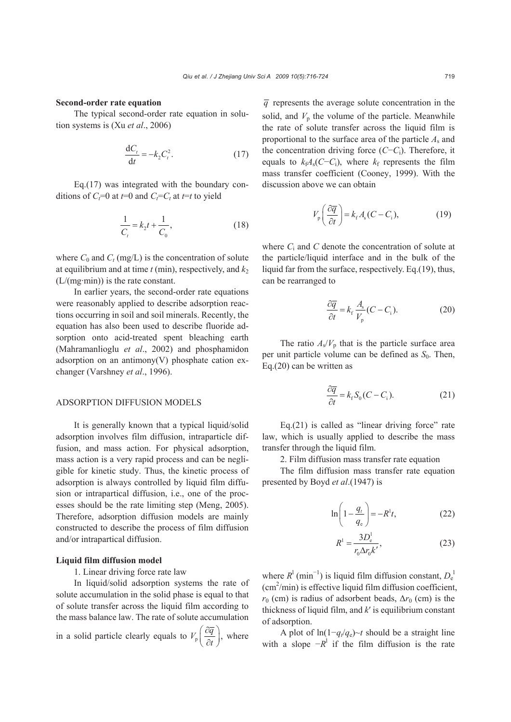#### **Second-order rate equation**

The typical second-order rate equation in solution systems is (Xu *et al*., 2006)

$$
\frac{\mathrm{d}C_t}{\mathrm{d}t} = -k_2 C_t^2. \tag{17}
$$

Eq.(17) was integrated with the boundary conditions of  $C_f=0$  at  $t=0$  and  $C_f=C_t$  at  $t=t$  to yield

$$
\frac{1}{C_t} = k_2 t + \frac{1}{C_0},\tag{18}
$$

where  $C_0$  and  $C_t$  (mg/L) is the concentration of solute at equilibrium and at time  $t$  (min), respectively, and  $k_2$ (L/(mg·min)) is the rate constant.

In earlier years, the second-order rate equations were reasonably applied to describe adsorption reactions occurring in soil and soil minerals. Recently, the equation has also been used to describe fluoride adsorption onto acid-treated spent bleaching earth (Mahramanlioglu *et al*., 2002) and phosphamidon adsorption on an antimony $(V)$  phosphate cation exchanger (Varshney *et al*., 1996).

#### ADSORPTION DIFFUSION MODELS

It is generally known that a typical liquid/solid adsorption involves film diffusion, intraparticle diffusion, and mass action. For physical adsorption, mass action is a very rapid process and can be negligible for kinetic study. Thus, the kinetic process of adsorption is always controlled by liquid film diffusion or intrapartical diffusion, i.e., one of the processes should be the rate limiting step (Meng, 2005). Therefore, adsorption diffusion models are mainly constructed to describe the process of film diffusion and/or intrapartical diffusion.

#### **Liquid film diffusion model**

#### 1. Linear driving force rate law

In liquid/solid adsorption systems the rate of solute accumulation in the solid phase is equal to that of solute transfer across the liquid film according to the mass balance law. The rate of solute accumulation

in a solid particle clearly equals to  $V_p \left( \frac{\partial \overline{q}}{\partial t} \right)$ ,  $\left( \partial \overline{q} \right)$  $\left(\frac{\partial q}{\partial t}\right)$ , where

 $\overline{q}$  represents the average solute concentration in the solid, and  $V_p$  the volume of the particle. Meanwhile the rate of solute transfer across the liquid film is proportional to the surface area of the particle *A*<sup>s</sup> and the concentration driving force (*C*−*C*i). Therefore, it equals to  $k_fA_s(C-C_i)$ , where  $k_f$  represents the film mass transfer coefficient (Cooney, 1999). With the discussion above we can obtain

$$
V_{\rm p}\left(\frac{\partial \overline{q}}{\partial t}\right) = k_{\rm f}A_{\rm s}(C - C_{\rm i}),\tag{19}
$$

where  $C_i$  and  $C$  denote the concentration of solute at the particle/liquid interface and in the bulk of the liquid far from the surface, respectively. Eq.(19), thus, can be rearranged to

$$
\frac{\partial \overline{q}}{\partial t} = k_{\rm f} \frac{A_{\rm s}}{V_{\rm p}} (C - C_{\rm i}).
$$
 (20)

The ratio  $A_s/V_p$  that is the particle surface area per unit particle volume can be defined as  $S_0$ . Then, Eq.(20) can be written as

$$
\frac{\partial \overline{q}}{\partial t} = k_{\rm f} S_0 (C - C_{\rm i}).\tag{21}
$$

 $Eq.(21)$  is called as "linear driving force" rate law, which is usually applied to describe the mass transfer through the liquid film.

2. Film diffusion mass transfer rate equation

The film diffusion mass transfer rate equation presented by Boyd *et al*.(1947) is

$$
\ln\left(1 - \frac{q_t}{q_e}\right) = -R^1 t,\tag{22}
$$

$$
R^1 = \frac{3D_e^1}{r_0 \Delta r_0 k'},
$$
\n(23)

where  $R^1$  (min<sup>-1</sup>) is liquid film diffusion constant,  $D_e^1$  $(cm<sup>2</sup>/min)$  is effective liquid film diffusion coefficient,  $r_0$  (cm) is radius of adsorbent beads,  $\Delta r_0$  (cm) is the thickness of liquid film, and *k*′ is equilibrium constant of adsorption.

A plot of  $\ln(1-q_t/q_e) \sim t$  should be a straight line with a slope  $-R^1$  if the film diffusion is the rate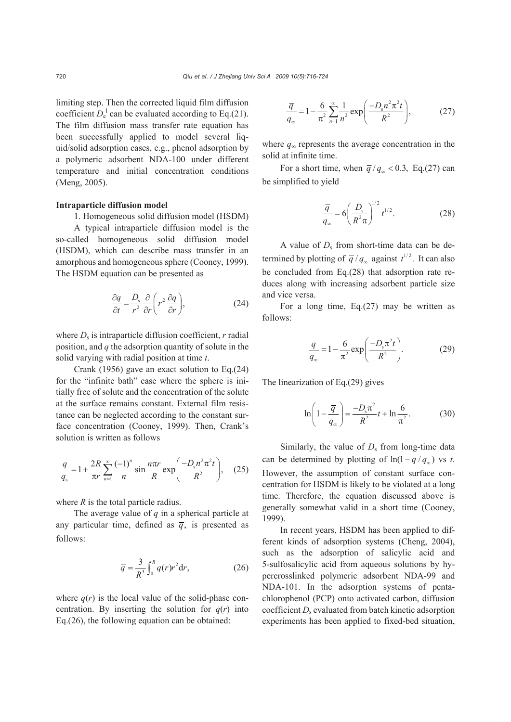limiting step. Then the corrected liquid film diffusion coefficient  $D_e^1$  can be evaluated according to Eq.(21). The film diffusion mass transfer rate equation has been successfully applied to model several liquid/solid adsorption cases, e.g., phenol adsorption by a polymeric adsorbent NDA-100 under different temperature and initial concentration conditions (Meng, 2005).

## **Intraparticle diffusion model**

1. Homogeneous solid diffusion model (HSDM)

A typical intraparticle diffusion model is the so-called homogeneous solid diffusion model (HSDM), which can describe mass transfer in an amorphous and homogeneous sphere (Cooney, 1999). The HSDM equation can be presented as

$$
\frac{\partial q}{\partial t} = \frac{D_s}{r^2} \frac{\partial}{\partial r} \left( r^2 \frac{\partial q}{\partial r} \right),\tag{24}
$$

where  $D_s$  is intraparticle diffusion coefficient,  $r$  radial position, and *q* the adsorption quantity of solute in the solid varying with radial position at time *t*.

Crank (1956) gave an exact solution to Eq.(24) for the "infinite bath" case where the sphere is initially free of solute and the concentration of the solute at the surface remains constant. External film resistance can be neglected according to the constant surface concentration (Cooney, 1999). Then, Crank's solution is written as follows

$$
\frac{q}{q_s} = 1 + \frac{2R}{\pi r} \sum_{n=1}^{\infty} \frac{(-1)^n}{n} \sin \frac{n\pi r}{R} \exp\left(\frac{-D_s n^2 \pi^2 t}{R^2}\right), \quad (25)
$$

where *R* is the total particle radius.

The average value of *q* in a spherical particle at any particular time, defined as  $\overline{q}$ , is presented as follows:

$$
\overline{q} = \frac{3}{R^3} \int_0^R q(r) r^2 \mathrm{d}r,\tag{26}
$$

where  $q(r)$  is the local value of the solid-phase concentration. By inserting the solution for  $q(r)$  into Eq.(26), the following equation can be obtained:

$$
\frac{\overline{q}}{q_{\infty}} = 1 - \frac{6}{\pi^2} \sum_{n=1}^{\infty} \frac{1}{n^2} \exp\left(\frac{-D_s n^2 \pi^2 t}{R^2}\right),\tag{27}
$$

where  $q_\infty$  represents the average concentration in the solid at infinite time.

For a short time, when  $\overline{q}/q_{\infty} < 0.3$ , Eq.(27) can be simplified to yield

$$
\frac{\overline{q}}{q_{\infty}} = 6 \left( \frac{D_s}{R^2 \pi} \right)^{1/2} t^{1/2}.
$$
 (28)

A value of  $D_s$  from short-time data can be determined by plotting of  $\overline{q}/q_{\infty}$  against  $t^{1/2}$ . It can also be concluded from Eq.(28) that adsorption rate reduces along with increasing adsorbent particle size and vice versa.

For a long time, Eq.(27) may be written as follows:

$$
\frac{\overline{q}}{q_{\infty}} = 1 - \frac{6}{\pi^2} \exp\left(\frac{-D_s \pi^2 t}{R^2}\right).
$$
 (29)

The linearization of Eq.(29) gives

$$
\ln\left(1 - \frac{\overline{q}}{q_{\infty}}\right) = \frac{-D_{\rm s}\pi^2}{R^2}t + \ln\frac{6}{\pi^2}.
$$
 (30)

Similarly, the value of  $D<sub>s</sub>$  from long-time data can be determined by plotting of  $ln(1 - \overline{q}/q_0)$  vs *t*. However, the assumption of constant surface concentration for HSDM is likely to be violated at a long time. Therefore, the equation discussed above is generally somewhat valid in a short time (Cooney, 1999).

In recent years, HSDM has been applied to different kinds of adsorption systems (Cheng, 2004), such as the adsorption of salicylic acid and 5-sulfosalicylic acid from aqueous solutions by hypercrosslinked polymeric adsorbent NDA-99 and NDA-101. In the adsorption systems of pentachlorophenol (PCP) onto activated carbon, diffusion coefficient *D<sub>s</sub>* evaluated from batch kinetic adsorption experiments has been applied to fixed-bed situation,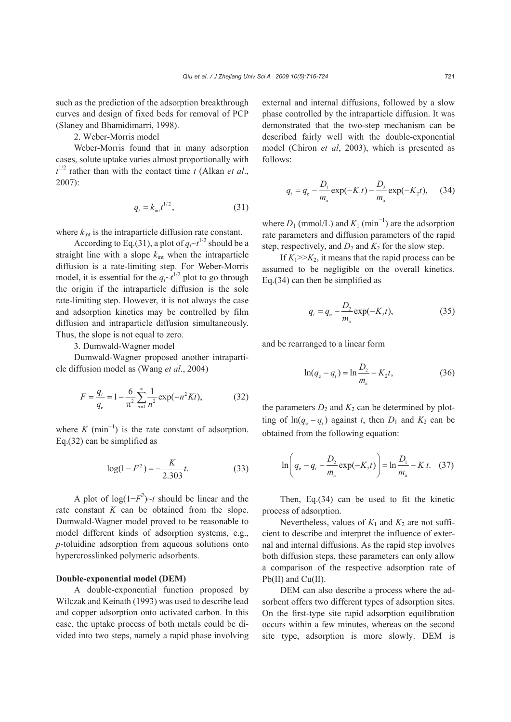such as the prediction of the adsorption breakthrough curves and design of fixed beds for removal of PCP (Slaney and Bhamidimarri, 1998).

2. Weber-Morris model

Weber-Morris found that in many adsorption cases, solute uptake varies almost proportionally with  $t^{1/2}$  rather than with the contact time *t* (Alkan *et al.*, 2007):

$$
q_t = k_{\rm int} t^{1/2},\tag{31}
$$

where  $k_{\text{int}}$  is the intraparticle diffusion rate constant.

According to Eq.(31), a plot of  $q \sim t^{1/2}$  should be a straight line with a slope  $k_{\text{int}}$  when the intraparticle diffusion is a rate-limiting step. For Weber-Morris model, it is essential for the  $q_f \sim t^{1/2}$  plot to go through the origin if the intraparticle diffusion is the sole rate-limiting step. However, it is not always the case and adsorption kinetics may be controlled by film diffusion and intraparticle diffusion simultaneously. Thus, the slope is not equal to zero.

3. Dumwald-Wagner model

Dumwald-Wagner proposed another intraparticle diffusion model as (Wang *et al*., 2004)

$$
F = \frac{q_t}{q_e} = 1 - \frac{6}{\pi^2} \sum_{n=1}^{\infty} \frac{1}{n^2} \exp(-n^2 K t),
$$
 (32)

where  $K \text{ (min}^{-1}$ ) is the rate constant of adsorption. Eq.(32) can be simplified as

$$
\log(1 - F^2) = -\frac{K}{2.303}t.\tag{33}
$$

A plot of  $log(1-F^2)~\sim t$  should be linear and the rate constant *K* can be obtained from the slope. Dumwald-Wagner model proved to be reasonable to model different kinds of adsorption systems, e.g., *p*-toluidine adsorption from aqueous solutions onto hypercrosslinked polymeric adsorbents.

## **Double-exponential model (DEM)**

A double-exponential function proposed by Wilczak and Keinath (1993) was used to describe lead and copper adsorption onto activated carbon. In this case, the uptake process of both metals could be divided into two steps, namely a rapid phase involving external and internal diffusions, followed by a slow phase controlled by the intraparticle diffusion. It was demonstrated that the two-step mechanism can be described fairly well with the double-exponential model (Chiron *et al*, 2003), which is presented as follows:

$$
q_{t} = q_{e} - \frac{D_{1}}{m_{a}} \exp(-K_{1}t) - \frac{D_{2}}{m_{a}} \exp(-K_{2}t), \quad (34)
$$

where  $D_1$  (mmol/L) and  $K_1$  (min<sup>-1</sup>) are the adsorption rate parameters and diffusion parameters of the rapid step, respectively, and  $D_2$  and  $K_2$  for the slow step.

If  $K_1 \geq K_2$ , it means that the rapid process can be assumed to be negligible on the overall kinetics. Eq.(34) can then be simplified as

$$
q_t = q_e - \frac{D_2}{m_a} \exp(-K_2 t),
$$
 (35)

and be rearranged to a linear form

$$
\ln(q_e - q_t) = \ln \frac{D_2}{m_a} - K_2 t,\tag{36}
$$

the parameters  $D_2$  and  $K_2$  can be determined by plotting of  $ln(q_a - q_t)$  against *t*, then  $D_1$  and  $K_2$  can be obtained from the following equation:

$$
\ln\left(q_{\rm e} - q_{\rm r} - \frac{D_{\rm 2}}{m_{\rm a}} \exp(-K_{\rm 2}t)\right) = \ln\frac{D_{\rm 1}}{m_{\rm a}} - K_{\rm 1}t. \quad (37)
$$

Then, Eq.(34) can be used to fit the kinetic process of adsorption.

Nevertheless, values of  $K_1$  and  $K_2$  are not sufficient to describe and interpret the influence of external and internal diffusions. As the rapid step involves both diffusion steps, these parameters can only allow a comparison of the respective adsorption rate of Pb(II) and Cu(II).

DEM can also describe a process where the adsorbent offers two different types of adsorption sites. On the first-type site rapid adsorption equilibration occurs within a few minutes, whereas on the second site type, adsorption is more slowly. DEM is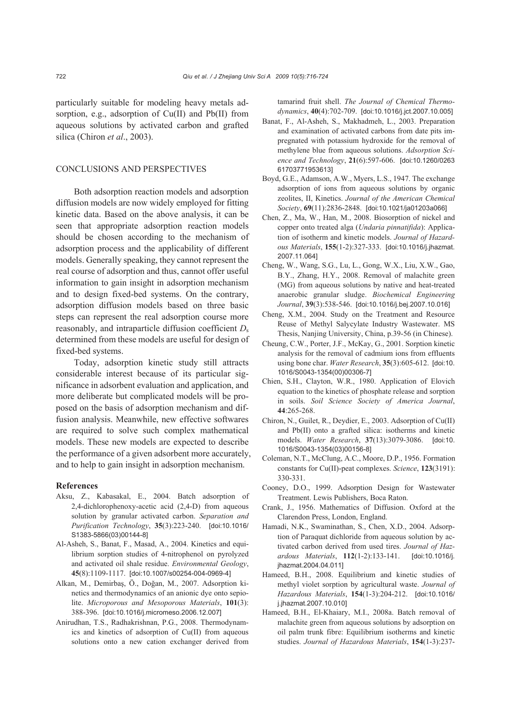particularly suitable for modeling heavy metals adsorption, e.g., adsorption of Cu(II) and Pb(II) from aqueous solutions by activated carbon and grafted silica (Chiron *et al*., 2003).

## CONCLUSIONS AND PERSPECTIVES

Both adsorption reaction models and adsorption diffusion models are now widely employed for fitting kinetic data. Based on the above analysis, it can be seen that appropriate adsorption reaction models should be chosen according to the mechanism of adsorption process and the applicability of different models. Generally speaking, they cannot represent the real course of adsorption and thus, cannot offer useful information to gain insight in adsorption mechanism and to design fixed-bed systems. On the contrary, adsorption diffusion models based on three basic steps can represent the real adsorption course more reasonably, and intraparticle diffusion coefficient  $D_s$ determined from these models are useful for design of fixed-bed systems.

Today, adsorption kinetic study still attracts considerable interest because of its particular significance in adsorbent evaluation and application, and more deliberate but complicated models will be proposed on the basis of adsorption mechanism and diffusion analysis. Meanwhile, new effective softwares are required to solve such complex mathematical models. These new models are expected to describe the performance of a given adsorbent more accurately, and to help to gain insight in adsorption mechanism.

#### **References**

- Aksu, Z., Kabasakal, E., 2004. Batch adsorption of 2,4-dichlorophenoxy-acetic acid (2,4-D) from aqueous solution by granular activated carbon. *Separation and Purification Technology*, **35**(3):223-240. [doi:10.1016/ S1383-5866(03)00144-8]
- Al-Asheh, S., Banat, F., Masad, A., 2004. Kinetics and equilibrium sorption studies of 4-nitrophenol on pyrolyzed and activated oil shale residue. *Environmental Geology*, **45**(8):1109-1117. [doi:10.1007/s00254-004-0969-4]
- Alkan, M., Demirbaş, Ö., Doğan, M., 2007. Adsorption kinetics and thermodynamics of an anionic dye onto sepiolite. *Microporous and Mesoporous Materials*, **101**(3): 388-396. [doi:10.1016/j.micromeso.2006.12.007]
- Anirudhan, T.S., Radhakrishnan, P.G., 2008. Thermodynamics and kinetics of adsorption of Cu(II) from aqueous solutions onto a new cation exchanger derived from

tamarind fruit shell. *The Journal of Chemical Thermodynamics*, **40**(4):702-709. [doi:10.1016/j.jct.2007.10.005]

- Banat, F., Al-Asheh, S., Makhadmeh, L., 2003. Preparation and examination of activated carbons from date pits impregnated with potassium hydroxide for the removal of methylene blue from aqueous solutions. *Adsorption Science and Technology*, **21**(6):597-606. [doi:10.1260/0263 61703771953613]
- Boyd, G.E., Adamson, A.W., Myers, L.S., 1947. The exchange adsorption of ions from aqueous solutions by organic zeolites, II, Kinetics. *Journal of the American Chemical Society*, **69**(11):2836-2848. [doi:10.1021/ja01203a066]
- Chen, Z., Ma, W., Han, M., 2008. Biosorption of nickel and copper onto treated alga (*Undaria pinnatifida*): Application of isotherm and kinetic models. *Journal of Hazardous Materials*, **155**(1-2):327-333. [doi:10.1016/j.jhazmat. 2007.11.064]
- Cheng, W., Wang, S.G., Lu, L., Gong, W.X., Liu, X.W., Gao, B.Y., Zhang, H.Y., 2008. Removal of malachite green (MG) from aqueous solutions by native and heat-treated anaerobic granular sludge. *Biochemical Engineering Journal*, **39**(3):538-546. [doi:10.1016/j.bej.2007.10.016]
- Cheng, X.M., 2004. Study on the Treatment and Resource Reuse of Methyl Salycylate Industry Wastewater. MS Thesis, Nanjing University, China, p.39-56 (in Chinese).
- Cheung, C.W., Porter, J.F., McKay, G., 2001. Sorption kinetic analysis for the removal of cadmium ions from effluents using bone char. *Water Research*, **35**(3):605-612. [doi:10. 1016/S0043-1354(00)00306-7]
- Chien, S.H., Clayton, W.R., 1980. Application of Elovich equation to the kinetics of phosphate release and sorption in soils. *Soil Science Society of America Journal*, **44**:265-268.
- Chiron, N., Guilet, R., Deydier, E., 2003. Adsorption of Cu(II) and Pb(II) onto a grafted silica: isotherms and kinetic models. *Water Research*, **37**(13):3079-3086. [doi:10. 1016/S0043-1354(03)00156-8]
- Coleman, N.T., McClung, A.C., Moore, D.P., 1956. Formation constants for Cu(II)-peat complexes. *Science*, **123**(3191): 330-331.
- Cooney, D.O., 1999. Adsorption Design for Wastewater Treatment. Lewis Publishers, Boca Raton.
- Crank, J., 1956. Mathematics of Diffusion. Oxford at the Clarendon Press, London, England.
- Hamadi, N.K., Swaminathan, S., Chen, X.D., 2004. Adsorption of Paraquat dichloride from aqueous solution by activated carbon derived from used tires. *Journal of Hazardous Materials*, **112**(1-2):133-141. [doi:10.1016/j. jhazmat.2004.04.011]
- Hameed, B.H., 2008. Equilibrium and kinetic studies of methyl violet sorption by agricultural waste. *Journal of Hazardous Materials*, **154**(1-3):204-212. [doi:10.1016/ j.jhazmat.2007.10.010]
- Hameed, B.H., El-Khaiary, M.I., 2008a. Batch removal of malachite green from aqueous solutions by adsorption on oil palm trunk fibre: Equilibrium isotherms and kinetic studies. *Journal of Hazardous Materials*, **154**(1-3):237-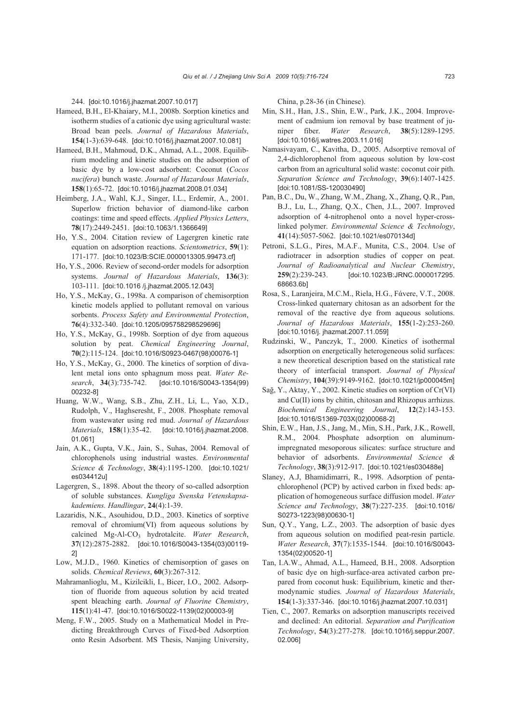244. [doi:10.1016/j.jhazmat.2007.10.017]

- Hameed, B.H., El-Khaiary, M.I., 2008b. Sorption kinetics and isotherm studies of a cationic dye using agricultural waste: Broad bean peels. *Journal of Hazardous Materials*, **154**(1-3):639-648. [doi:10.1016/j.jhazmat.2007.10.081]
- Hameed, B.H., Mahmoud, D.K., Ahmad, A.L., 2008. Equilibrium modeling and kinetic studies on the adsorption of basic dye by a low-cost adsorbent: Coconut (*Cocos nucifera*) bunch waste. *Journal of Hazardous Materials*, **158**(1):65-72. [doi:10.1016/j.jhazmat.2008.01.034]
- Heimberg, J.A., Wahl, K.J., Singer, I.L., Erdemir, A., 2001. Superlow friction behavior of diamond-like carbon coatings: time and speed effects. *Applied Physics Letters*, **78**(17):2449-2451. [doi:10.1063/1.1366649]
- Ho, Y.S., 2004. Citation review of Lagergren kinetic rate equation on adsorption reactions. *Scientometrics*, **59**(1): 171-177. [doi:10.1023/B:SCIE.0000013305.99473.cf]
- Ho, Y.S., 2006. Review of second-order models for adsorption systems. *Journal of Hazardous Materials*, **136**(3): 103-111. [doi:10.1016 /j.jhazmat.2005.12.043]
- Ho, Y.S., McKay, G., 1998a. A comparison of chemisorption kinetic models applied to pollutant removal on various sorbents. *Process Safety and Environmental Protection*, **76**(4):332-340. [doi:10.1205/095758298529696]
- Ho, Y.S., McKay, G., 1998b. Sorption of dye from aqueous solution by peat. *Chemical Engineering Journal*, **70**(2):115-124. [doi:10.1016/S0923-0467(98)00076-1]
- Ho, Y.S., McKay, G., 2000. The kinetics of sorption of divalent metal ions onto sphagnum moss peat. *Water Research*, **34**(3):735-742. [doi:10.1016/S0043-1354(99) 00232-8]
- Huang, W.W., Wang, S.B., Zhu, Z.H., Li, L., Yao, X.D., Rudolph, V., Haghseresht, F., 2008. Phosphate removal from wastewater using red mud. *Journal of Hazardous Materials*, **158**(1):35-42. [doi:10.1016/j.jhazmat.2008. 01.061]
- Jain, A.K., Gupta, V.K., Jain, S., Suhas, 2004. Removal of chlorophenols using industrial wastes. *Environmental Science & Technology*, **38**(4):1195-1200. [doi:10.1021/ es034412u]
- Lagergren, S., 1898. About the theory of so-called adsorption of soluble substances. *Kungliga Svenska Vetenskapsakademiens. Handlingar*, **24**(4):1-39.
- Lazaridis, N.K., Asouhidou, D.D., 2003. Kinetics of sorptive removal of chromium(VI) from aqueous solutions by calcined Mg-Al-CO3 hydrotalcite. *Water Research*, **37**(12):2875-2882. [doi:10.1016/S0043-1354(03)00119- 2]
- Low, M.J.D., 1960. Kinetics of chemisorption of gases on solids. *Chemical Reviews*, **60**(3):267-312.
- Mahramanlioglu, M., Kizilcikli, I., Bicer, I.O., 2002. Adsorption of fluoride from aqueous solution by acid treated spent bleaching earth. *Journal of Fluorine Chemistry*, **115**(1):41-47. [doi:10.1016/S0022-1139(02)00003-9]
- Meng, F.W., 2005. Study on a Mathematical Model in Predicting Breakthrough Curves of Fixed-bed Adsorption onto Resin Adsorbent. MS Thesis, Nanjing University,

China, p.28-36 (in Chinese).

- Min, S.H., Han, J.S., Shin, E.W., Park, J.K., 2004. Improvement of cadmium ion removal by base treatment of juniper fiber. *Water Research*, **38**(5):1289-1295. [doi:10.1016/j.watres.2003.11.016]
- Namasivayam, C., Kavitha, D., 2005. Adsorptive removal of 2,4-dichlorophenol from aqueous solution by low-cost carbon from an agricultural solid waste: coconut coir pith. *Separation Science and Technology*, **39**(6):1407-1425. [doi:10.1081/SS-120030490]
- Pan, B.C., Du, W., Zhang, W.M., Zhang, X., Zhang, Q.R., Pan, B.J., Lu, L., Zhang, Q.X., Chen, J.L., 2007. Improved adsorption of 4-nitrophenol onto a novel hyper-crosslinked polymer. *Environmental Science & Technology*, **41**(14):5057-5062. [doi:10.1021/es070134d]
- Petroni, S.L.G., Pires, M.A.F., Munita, C.S., 2004. Use of radiotracer in adsorption studies of copper on peat. *Journal of Radioanalytical and Nuclear Chemistry*, **259**(2):239-243. [doi:10.1023/B:JRNC.0000017295. 68663.6b]
- Rosa, S., Laranjeira, M.C.M., Riela, H.G., Fάvere, V.T., 2008. Cross-linked quaternary chitosan as an adsorbent for the removal of the reactive dye from aqueous solutions. *Journal of Hazardous Materials*, **155**(1-2):253-260. [doi:10.1016/j. jhazmat.2007.11.059]
- Rudzinski, W., Panczyk, T., 2000. Kinetics of isothermal adsorption on energetically heterogeneous solid surfaces: a new theoretical description based on the statistical rate theory of interfacial transport. *Journal of Physical Chemistry*, **104**(39):9149-9162. [doi:10.1021/jp000045m]
- Sağ, Y., Aktay, Y., 2002. Kinetic studies on sorption of Cr(VI) and Cu(II) ions by chitin, chitosan and Rhizopus arrhizus. *Biochemical Engineering Journal*, **12**(2):143-153. [doi:10.1016/S1369-703X(02)00068-2]
- Shin, E.W., Han, J.S., Jang, M., Min, S.H., Park, J.K., Rowell, R.M., 2004. Phosphate adsorption on aluminumimpregnated mesoporous silicates: surface structure and behavior of adsorbents. *Environmental Science & Technology*, **38**(3):912-917. [doi:10.1021/es030488e]
- Slaney, A.J, Bhamidimarri, R., 1998. Adsorption of pentachlorophenol (PCP) by actived carbon in fixed beds: application of homogeneous surface diffusion model. *Water Science and Technology*, **38**(7):227-235. [doi:10.1016/ S0273-1223(98)00630-1]
- Sun, Q.Y., Yang, L.Z., 2003. The adsorption of basic dyes from aqueous solution on modified peat-resin particle. *Water Research*, **37**(7):1535-1544. [doi:10.1016/S0043- 1354(02)00520-1]
- Tan, I.A.W., Ahmad, A.L., Hameed, B.H., 2008. Adsorption of basic dye on high-surface-area activated carbon prepared from coconut husk: Equilibrium, kinetic and thermodynamic studies. *Journal of Hazardous Materials*, **154**(1-3):337-346. [doi:10.1016/j.jhazmat.2007.10.031]
- Tien, C., 2007. Remarks on adsorption manuscripts received and declined: An editorial. *Separation and Purification Technology*, **54**(3):277-278. [doi:10.1016/j.seppur.2007. 02.006]